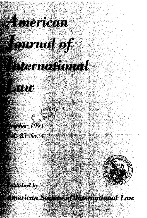

*Countable* 

## *Elernational*

- 1410

**Metaber 1991 M 85 No. 4** 

**Mished by** 

**American Society of International Law**